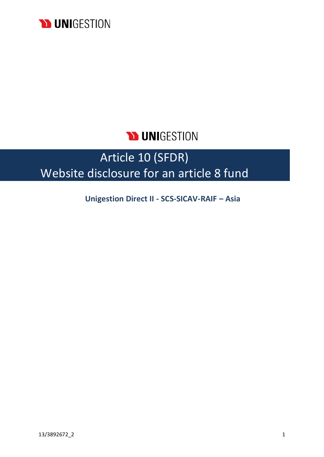

## **DUNIGESTION**

# Article 10 (SFDR) Website disclosure for an article 8 fund

**Unigestion Direct II - SCS-SICAV-RAIF – Asia**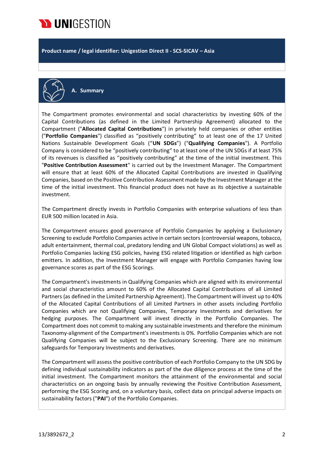

**Product name / legal identifier: Unigestion Direct II - SCS-SICAV – Asia**



**A. Summary**

The Compartment promotes environmental and social characteristics by investing 60% of the Capital Contributions (as defined in the Limited Partnership Agreement) allocated to the Compartment ("**Allocated Capital Contributions**") in privately held companies or other entities ("**Portfolio Companies**") classified as "positively contributing" to at least one of the 17 United Nations Sustainable Development Goals ("**UN SDGs**") ("**Qualifying Companies**"). A Portfolio Company is considered to be "positively contributing" to at least one of the UN SDGs if at least 75% of its revenues is classified as "positively contributing" at the time of the initial investment. This "**Positive Contribution Assessment**" is carried out by the Investment Manager. The Compartment will ensure that at least 60% of the Allocated Capital Contributions are invested in Qualifying Companies, based on the Positive Contribution Assessment made by the Investment Manager at the time of the initial investment. This financial product does not have as its objective a sustainable investment.

The Compartment directly invests in Portfolio Companies with enterprise valuations of less than EUR 500 million located in Asia.

The Compartment ensures good governance of Portfolio Companies by applying a Exclusionary Screening to exclude Portfolio Companies active in certain sectors (controversial weapons, tobacco, adult entertainment, thermal coal, predatory lending and UN Global Compact violations) as well as Portfolio Companies lacking ESG policies, having ESG related litigation or identified as high carbon emitters. In addition, the Investment Manager will engage with Portfolio Companies having low governance scores as part of the ESG Scorings.

The Compartment's investments in Qualifying Companies which are aligned with its environmental and social characteristics amount to 60% of the Allocated Capital Contributions of all Limited Partners (as defined in the Limited Partnership Agreement). The Compartment will invest up to 40% of the Allocated Capital Contributions of all Limited Partners in other assets including Portfolio Companies which are not Qualifying Companies, Temporary Investments and derivatives for hedging purposes. The Compartment will invest directly in the Portfolio Companies. The Compartment does not commit to making any sustainable investments and therefore the minimum Taxonomy-alignment of the Compartment's investments is 0%. Portfolio Companies which are not Qualifying Companies will be subject to the Exclusionary Screening. There are no minimum safeguards for Temporary Investments and derivatives.

The Compartment will assess the positive contribution of each Portfolio Company to the UN SDG by defining individual sustainability indicators as part of the due diligence process at the time of the initial investment. The Compartment monitors the attainment of the environmental and social characteristics on an ongoing basis by annually reviewing the Positive Contribution Assessment, performing the ESG Scoring and, on a voluntary basis, collect data on principal adverse impacts on sustainability factors ("**PAI**") of the Portfolio Companies.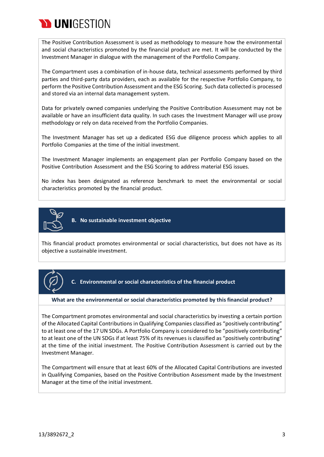

The Positive Contribution Assessment is used as methodology to measure how the environmental and social characteristics promoted by the financial product are met. It will be conducted by the Investment Manager in dialogue with the management of the Portfolio Company.

The Compartment uses a combination of in-house data, technical assessments performed by third parties and third-party data providers, each as available for the respective Portfolio Company, to perform the Positive Contribution Assessment and the ESG Scoring. Such data collected is processed and stored via an internal data management system.

Data for privately owned companies underlying the Positive Contribution Assessment may not be available or have an insufficient data quality. In such cases the Investment Manager will use proxy methodology or rely on data received from the Portfolio Companies.

The Investment Manager has set up a dedicated ESG due diligence process which applies to all Portfolio Companies at the time of the initial investment.

The Investment Manager implements an engagement plan per Portfolio Company based on the Positive Contribution Assessment and the ESG Scoring to address material ESG issues.

No index has been designated as reference benchmark to meet the environmental or social characteristics promoted by the financial product.



**B. No sustainable investment objective**

This financial product promotes environmental or social characteristics, but does not have as its objective a sustainable investment.



**C. Environmental or social characteristics of the financial product**

#### **What are the environmental or social characteristics promoted by this financial product?**

The Compartment promotes environmental and social characteristics by investing a certain portion of the Allocated Capital Contributions in Qualifying Companies classified as "positively contributing" to at least one of the 17 UN SDGs. A Portfolio Company is considered to be "positively contributing" to at least one of the UN SDGs if at least 75% of its revenues is classified as "positively contributing" at the time of the initial investment. The Positive Contribution Assessment is carried out by the Investment Manager.

The Compartment will ensure that at least 60% of the Allocated Capital Contributions are invested in Qualifying Companies, based on the Positive Contribution Assessment made by the Investment Manager at the time of the initial investment.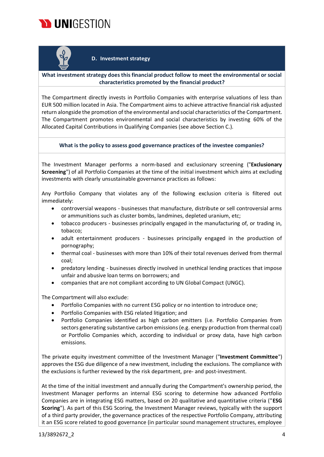



#### **D. Investment strategy**

#### **What investment strategy does this financial product follow to meet the environmental or social characteristics promoted by the financial product?**

The Compartment directly invests in Portfolio Companies with enterprise valuations of less than EUR 500 million located in Asia. The Compartment aims to achieve attractive financial risk adjusted return alongside the promotion of the environmental and social characteristics of the Compartment. The Compartment promotes environmental and social characteristics by investing 60% of the Allocated Capital Contributions in Qualifying Companies (see above Section C.).

**What is the policy to assess good governance practices of the investee companies?**

The Investment Manager performs a norm-based and exclusionary screening ("**Exclusionary Screening**") of all Portfolio Companies at the time of the initial investment which aims at excluding investments with clearly unsustainable governance practices as follows:

Any Portfolio Company that violates any of the following exclusion criteria is filtered out immediately:

- controversial weapons businesses that manufacture, distribute or sell controversial arms or ammunitions such as cluster bombs, landmines, depleted uranium, etc;
- tobacco producers businesses principally engaged in the manufacturing of, or trading in, tobacco;
- adult entertainment producers businesses principally engaged in the production of pornography;
- thermal coal businesses with more than 10% of their total revenues derived from thermal coal;
- predatory lending businesses directly involved in unethical lending practices that impose unfair and abusive loan terms on borrowers; and
- companies that are not compliant according to UN Global Compact (UNGC).

The Compartment will also exclude:

- Portfolio Companies with no current ESG policy or no intention to introduce one;
- Portfolio Companies with ESG related litigation; and
- Portfolio Companies identified as high carbon emitters (i.e. Portfolio Companies from sectors generating substantive carbon emissions (e.g. energy production from thermal coal) or Portfolio Companies which, according to individual or proxy data, have high carbon emissions.

The private equity investment committee of the Investment Manager ("**Investment Committee**") approves the ESG due diligence of a new investment, including the exclusions. The compliance with the exclusions is further reviewed by the risk department, pre- and post-investment.

At the time of the initial investment and annually during the Compartment's ownership period, the Investment Manager performs an internal ESG scoring to determine how advanced Portfolio Companies are in integrating ESG matters, based on 20 qualitative and quantitative criteria ("**ESG Scoring**"). As part of this ESG Scoring, the Investment Manager reviews, typically with the support of a third party provider, the governance practices of the respective Portfolio Company, attributing it an ESG score related to good governance (in particular sound management structures, employee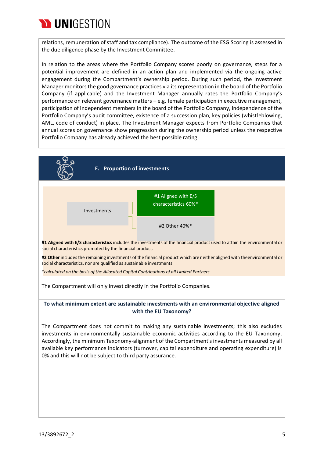

relations, remuneration of staff and tax compliance). The outcome of the ESG Scoring is assessed in the due diligence phase by the Investment Committee.

In relation to the areas where the Portfolio Company scores poorly on governance, steps for a potential improvement are defined in an action plan and implemented via the ongoing active engagement during the Compartment's ownership period. During such period, the Investment Manager monitorsthe good governance practices via itsrepresentation in the board of the Portfolio Company (if applicable) and the Investment Manager annually rates the Portfolio Company's performance on relevant governance matters – e.g. female participation in executive management, participation of independent members in the board of the Portfolio Company, independence of the Portfolio Company's audit committee, existence of a succession plan, key policies (whistleblowing, AML, code of conduct) in place. The Investment Manager expects from Portfolio Companies that annual scores on governance show progression during the ownership period unless the respective Portfolio Company has already achieved the best possible rating.

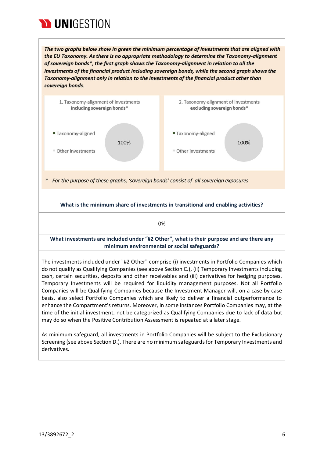

The two graphs below show in green the minimum percentage of investments that are aligned with the EU Taxonomy. As there is no appropriate methodology to determine the Taxonomy-alignment of sovereign bonds\*, the first graph shows the Taxonomy-alignment in relation to all the investments of the financial product including sovereign bonds, while the second graph shows the Taxonomy-alignment only in relation to the investments of the financial product other than sovereign bonds.



As minimum safeguard, all investments in Portfolio Companies will be subject to the Exclusionary Screening (see above Section D.). There are no minimum safeguards for Temporary Investments and derivatives.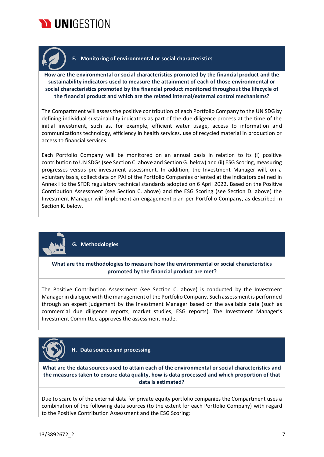



### **F. Monitoring of environmental or social characteristics**

**How are the environmental or social characteristics promoted by the financial product and the sustainability indicators used to measure the attainment of each of those environmental or social characteristics promoted by the financial product monitored throughout the lifecycle of the financial product and which are the related internal/external control mechanisms?**

The Compartment will assess the positive contribution of each Portfolio Company to the UN SDG by defining individual sustainability indicators as part of the due diligence process at the time of the initial investment, such as, for example, efficient water usage, access to information and communications technology, efficiency in health services, use of recycled material in production or access to financial services.

Each Portfolio Company will be monitored on an annual basis in relation to its (i) positive contribution to UN SDGs (see Section C. above and Section G. below) and (ii) ESG Scoring, measuring progresses versus pre-investment assessment. In addition, the Investment Manager will, on a voluntary basis, collect data on PAI of the Portfolio Companies oriented at the indicators defined in Annex I to the SFDR regulatory technical standards adopted on 6 April 2022. Based on the Positive Contribution Assessment (see Section C. above) and the ESG Scoring (see Section D. above) the Investment Manager will implement an engagement plan per Portfolio Company, as described in Section K. below.



**G. Methodologies**

**What are the methodologies to measure how the environmental or social characteristics promoted by the financial product are met?**

The Positive Contribution Assessment (see Section C. above) is conducted by the Investment Managerin dialogue with the management of the Portfolio Company. Such assessment is performed through an expert judgement by the Investment Manager based on the available data (such as commercial due diligence reports, market studies, ESG reports). The Investment Manager's Investment Committee approves the assessment made.



**H. Data sources and processing**

**What are the data sources used to attain each of the environmental or social characteristics and the measures taken to ensure data quality, how is data processed and which proportion of that data is estimated?**

Due to scarcity of the external data for private equity portfolio companies the Compartment uses a combination of the following data sources (to the extent for each Portfolio Company) with regard to the Positive Contribution Assessment and the ESG Scoring: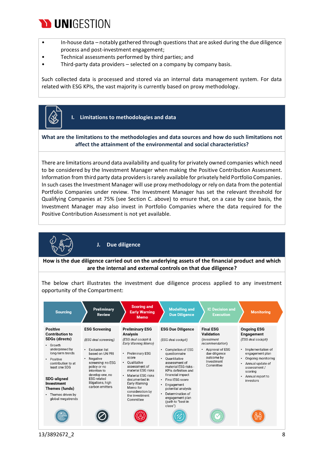## **WUNIGESTION**

- In-house data notably gathered through questions that are asked during the due diligence process and post-investment engagement;
- Technical assessments performed by third parties; and
- Third-party data providers selected on a company by company basis.

Such collected data is processed and stored via an internal data management system. For data related with ESG KPIs, the vast majority is currently based on proxy methodology.



**I. Limitations to methodologies and data**

#### **What are the limitations to the methodologies and data sources and how do such limitations not affect the attainment of the environmental and social characteristics?**

There are limitations around data availability and quality for privately owned companies which need to be considered by the Investment Manager when making the Positive Contribution Assessment. Information from third party data providers is rarely available for privately held Portfolio Companies. In such cases the Investment Manager will use proxy methodology or rely on data from the potential Portfolio Companies under review. The Investment Manager has set the relevant threshold for Qualifying Companies at 75% (see Section C. above) to ensure that, on a case by case basis, the Investment Manager may also invest in Portfolio Companies where the data required for the Positive Contribution Assessment is not yet available.



**J. Due diligence**

**How is the due diligence carried out on the underlying assets of the financial product and which are the internal and external controls on that due diligence?**

The below chart illustrates the investment due diligence process applied to any investment opportunity of the Compartment:

| <b>Sourcing</b>                                                                                                                                                                                                                                                                                  | <b>Preliminary</b><br><b>Review</b>                                                                                                                                                                                                                          | <b>Scoring and</b><br><b>Early Warning</b><br><b>Memo</b>                                                                                                                                                                                                                                             | <b>Modelling and</b><br><b>Due Diligence</b>                                                                                                                                                                                                                                                                                              | <b>IC Decision and</b><br><b>Execution</b>                                                                                                            | <b>Monitoring</b>                                                                                                                                                                                         |
|--------------------------------------------------------------------------------------------------------------------------------------------------------------------------------------------------------------------------------------------------------------------------------------------------|--------------------------------------------------------------------------------------------------------------------------------------------------------------------------------------------------------------------------------------------------------------|-------------------------------------------------------------------------------------------------------------------------------------------------------------------------------------------------------------------------------------------------------------------------------------------------------|-------------------------------------------------------------------------------------------------------------------------------------------------------------------------------------------------------------------------------------------------------------------------------------------------------------------------------------------|-------------------------------------------------------------------------------------------------------------------------------------------------------|-----------------------------------------------------------------------------------------------------------------------------------------------------------------------------------------------------------|
| <b>Positive</b><br><b>Contribution to</b><br><b>SDGs (directs)</b><br>• Growth<br>underpinned by<br>long-term trends<br>Positive<br>$\bullet$<br>contribution to at<br>least one SDG<br><b>SDG-aligned</b><br>Investment<br>Themes (funds)<br>Themes driven by<br>$\bullet$<br>global megatrends | <b>ESG Screening</b><br>(ESG deal screening)<br><b>Exclusion list</b><br>$\bullet$<br>based on UN PRI<br>Negative<br>٠<br>screening: no ESG<br>policy or no<br>intention to<br>develop one, no<br><b>ESG</b> related<br>litigations, high<br>carbon emitters | <b>Preliminary ESG</b><br>Analysis<br>(ESG deal cockpit &<br>Early Warning Memo)<br><b>Preliminary ESG</b><br>score<br>Oualitative<br>٠<br>assessment of<br>material ESG risks<br>Material ESG risks<br>documented in<br>Early Warning<br>Memo for<br>consideration by<br>the Investment<br>Committee | <b>ESG Due Diligence</b><br>(ESG deal cockpit)<br><b>Completion of ESG</b><br>questionnaire<br>Ouantitative<br>٠<br>assessment of<br>material ESG risks -<br>KPIs definition and<br>financial impact<br>• Final ESG score<br>Engagement<br>٠<br>potential analysis<br>Determination of<br>engagement plan<br>(path to "best in<br>class") | <b>Final ESG</b><br>Validation<br><i>(Investment)</i><br>recommendation)<br>Approval of ESG<br>due diligence<br>outcome by<br>Investment<br>Committee | <b>Ongoing ESG</b><br>Engagement<br>(ESG deal cockpit)<br>Implementation of<br>engagement plan<br>Ongoing monitoring<br>Annual update of<br>assessment /<br>scoring<br>Annual report to<br>٠<br>investors |
|                                                                                                                                                                                                                                                                                                  |                                                                                                                                                                                                                                                              |                                                                                                                                                                                                                                                                                                       |                                                                                                                                                                                                                                                                                                                                           |                                                                                                                                                       |                                                                                                                                                                                                           |